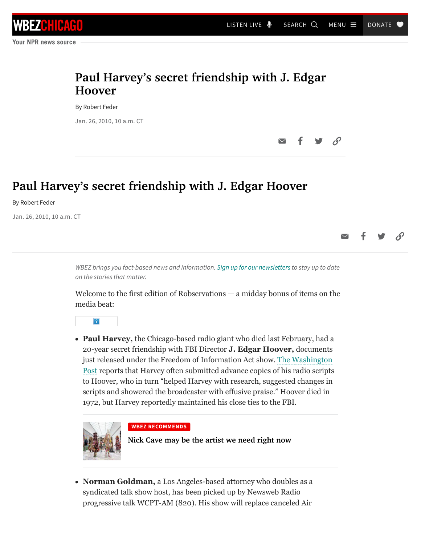## **Paul Harvey's secret friendship with J. Edgar Hoover**

By Robert Feder

Jan. 26, 2010, 10 a.m. CT

## **Paul Harvey's secret friendship with J. Edgar Hoover**

By Robert Feder

Jan. 26, 2010, 10 a.m. CT

*WBEZ brings you fact-based news and information. [Sign up for our newsletters](https://www.wbez.org/newsletters) to stay up to date on the stories that matter.*

Welcome to the first edition of Robservations  $-$  a midday bonus of items on the media beat:



**Paul Harvey,** the Chicago-based radio giant who died last February, had a 20-year secret friendship with FBI Director **J. Edgar Hoover,** documents just released under the Freedom of Information Act show. The Washington [Post reports that Harvey often submitted advance copies of his radio scripts](http://www.washingtonpost.com/wp-dyn/content/article/2010/01/22/AR2010012202602.html?sub=AR) to Hoover, who in turn "helped Harvey with research, suggested changes in scripts and showered the broadcaster with effusive praise." Hoover died in 1972, but Harvey reportedly maintained his close ties to the FBI.



## **WBEZ RECOMMENDS**

**[Nick Cave may be the artist we need right now](https://www.wbez.org/stories/artist-nick-cave-and-his-soundsuits-take-over-chicago-mca-dusable/ca18cf2c-3371-49d0-8068-5c2fc3b37a53)**

**Norman Goldman,** a Los Angeles-based attorney who doubles as a syndicated talk show host, has been picked up by Newsweb Radio progressive talk WCPT-AM (820). His show will replace canceled Air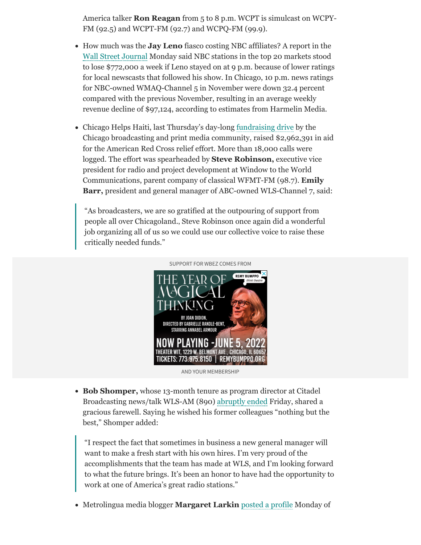America talker **Ron Reagan** from 5 to 8 p.m. WCPT is simulcast on WCPY-FM (92.5) and WCPT-FM (92.7) and WCPQ-FM (99.9).

- How much was the **Jay Leno** fiasco costing NBC affiliates? A report in the [Wall Street Journal](http://online.wsj.com/article/SB10001424052748703415804575023151921737346.html?mod=WSJ_hpp_sections_business) Monday said NBC stations in the top 20 markets stood to lose \$772,000 a week if Leno stayed on at 9 p.m. because of lower ratings for local newscasts that followed his show. In Chicago, 10 p.m. news ratings for NBC-owned WMAQ-Channel 5 in November were down 32.4 percent compared with the previous November, resulting in an average weekly revenue decline of \$97,124, according to estimates from Harmelin Media.
- Chicago Helps Haiti, last Thursday's day-long [fundraising drive](http://www.chicagoredcross.org/detalle_prensa.asp?id=4731&SN=518&OP=1995&SUOP=1996&IDCapitulo=VF223FBDFD) by the Chicago broadcasting and print media community, raised \$2,962,391 in aid for the American Red Cross relief effort. More than 18,000 calls were logged. The effort was spearheaded by **Steve Robinson,** executive vice president for radio and project development at Window to the World Communications, parent company of classical WFMT-FM (98.7). **Emily Barr,** president and general manager of ABC-owned WLS-Channel 7, said:

"As broadcasters, we are so gratified at the outpouring of support from people all over Chicagoland.' Steve Robinson once again did a wonderful job organizing all of us so we could use our collective voice to raise these critically needed funds."



AND YOUR MEMBERSHIP

**Bob Shomper,** whose 13-month tenure as program director at Citadel Broadcasting news/talk WLS-AM (890) [abruptly ended](https://www.wbez.org/blog/robert-feder/program-director-out-wls-shakeup-continues) Friday, shared a gracious farewell. Saying he wished his former colleagues "nothing but the best," Shomper added:

"I respect the fact that sometimes in business a new general manager will want to make a fresh start with his own hires. I'm very proud of the accomplishments that the team has made at WLS, and I'm looking forward to what the future brings. It's been an honor to have had the opportunity to work at one of America's great radio stations."

Metrolingua media blogger **Margaret Larkin** [posted a profile](http://blog.metrolingua.com/2010/01/exclusive-interview-with-creator-of.html) Monday of